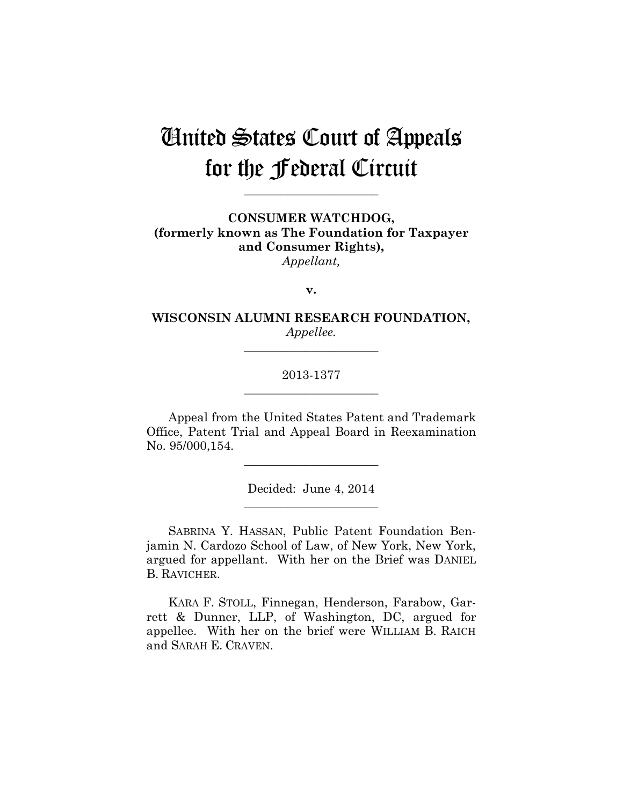# United States Court of Appeals for the Federal Circuit

**\_\_\_\_\_\_\_\_\_\_\_\_\_\_\_\_\_\_\_\_\_\_** 

**CONSUMER WATCHDOG, (formerly known as The Foundation for Taxpayer and Consumer Rights),** *Appellant,*

**v.**

**WISCONSIN ALUMNI RESEARCH FOUNDATION,** *Appellee.*

**\_\_\_\_\_\_\_\_\_\_\_\_\_\_\_\_\_\_\_\_\_\_** 

# 2013-1377 **\_\_\_\_\_\_\_\_\_\_\_\_\_\_\_\_\_\_\_\_\_\_**

Appeal from the United States Patent and Trademark Office, Patent Trial and Appeal Board in Reexamination No. 95/000,154.

**\_\_\_\_\_\_\_\_\_\_\_\_\_\_\_\_\_\_\_\_\_\_** 

Decided: June 4, 2014 **\_\_\_\_\_\_\_\_\_\_\_\_\_\_\_\_\_\_\_\_\_\_** 

SABRINA Y. HASSAN, Public Patent Foundation Benjamin N. Cardozo School of Law, of New York, New York, argued for appellant. With her on the Brief was DANIEL B. RAVICHER.

KARA F. STOLL, Finnegan, Henderson, Farabow, Garrett & Dunner, LLP, of Washington, DC, argued for appellee. With her on the brief were WILLIAM B. RAICH and SARAH E. CRAVEN.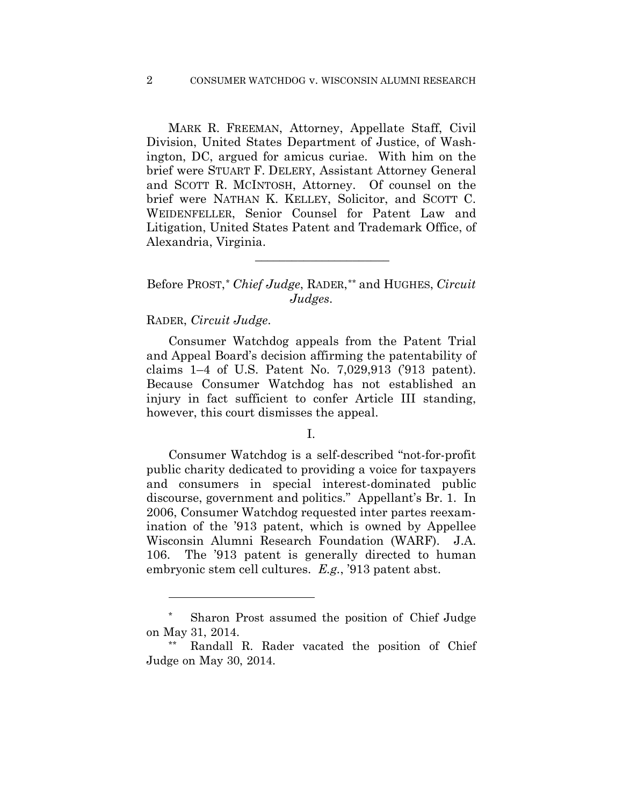MARK R. FREEMAN, Attorney, Appellate Staff, Civil Division, United States Department of Justice, of Washington, DC, argued for amicus curiae. With him on the brief were STUART F. DELERY, Assistant Attorney General and SCOTT R. MCINTOSH, Attorney. Of counsel on the brief were NATHAN K. KELLEY, Solicitor, and SCOTT C. WEIDENFELLER, Senior Counsel for Patent Law and Litigation, United States Patent and Trademark Office, of Alexandria, Virginia.

# Before PROST,\* *Chief Judge*, RADER,\*\* and HUGHES, *Circuit Judges*.

\_\_\_\_\_\_\_\_\_\_\_\_\_\_\_\_\_\_\_\_\_\_

## RADER, *Circuit Judge*.

<u>.</u>

Consumer Watchdog appeals from the Patent Trial and Appeal Board's decision affirming the patentability of claims 1–4 of U.S. Patent No. 7,029,913 ('913 patent). Because Consumer Watchdog has not established an injury in fact sufficient to confer Article III standing, however, this court dismisses the appeal.

I.

Consumer Watchdog is a self-described "not-for-profit public charity dedicated to providing a voice for taxpayers and consumers in special interest-dominated public discourse, government and politics." Appellant's Br. 1. In 2006, Consumer Watchdog requested inter partes reexamination of the '913 patent, which is owned by Appellee Wisconsin Alumni Research Foundation (WARF). J.A. 106. The '913 patent is generally directed to human embryonic stem cell cultures. *E.g.*, '913 patent abst.

Sharon Prost assumed the position of Chief Judge on May 31, 2014.

Randall R. Rader vacated the position of Chief Judge on May 30, 2014.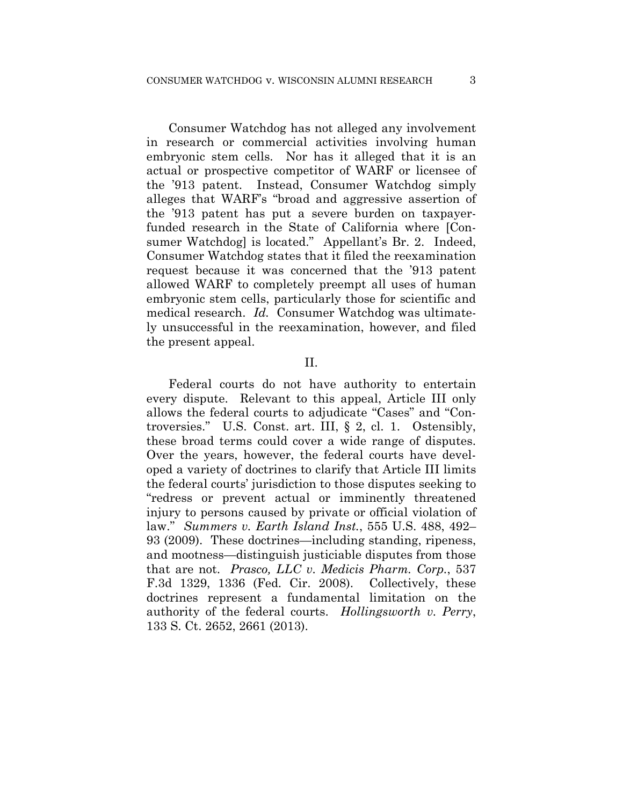Consumer Watchdog has not alleged any involvement in research or commercial activities involving human embryonic stem cells. Nor has it alleged that it is an actual or prospective competitor of WARF or licensee of the '913 patent. Instead, Consumer Watchdog simply alleges that WARF's "broad and aggressive assertion of the '913 patent has put a severe burden on taxpayerfunded research in the State of California where [Consumer Watchdog] is located." Appellant's Br. 2. Indeed, Consumer Watchdog states that it filed the reexamination request because it was concerned that the '913 patent allowed WARF to completely preempt all uses of human embryonic stem cells, particularly those for scientific and medical research. *Id.* Consumer Watchdog was ultimately unsuccessful in the reexamination, however, and filed the present appeal.

#### II.

Federal courts do not have authority to entertain every dispute. Relevant to this appeal, Article III only allows the federal courts to adjudicate "Cases" and "Controversies." U.S. Const. art. III, § 2, cl. 1. Ostensibly, these broad terms could cover a wide range of disputes. Over the years, however, the federal courts have developed a variety of doctrines to clarify that Article III limits the federal courts' jurisdiction to those disputes seeking to "redress or prevent actual or imminently threatened injury to persons caused by private or official violation of law." *Summers v. Earth Island Inst.*, 555 U.S. 488, 492– 93 (2009). These doctrines—including standing, ripeness, and mootness—distinguish justiciable disputes from those that are not. *Prasco, LLC v. Medicis Pharm. Corp.*, 537 F.3d 1329, 1336 (Fed. Cir. 2008). Collectively, these doctrines represent a fundamental limitation on the authority of the federal courts. *Hollingsworth v. Perry*, 133 S. Ct. 2652, 2661 (2013).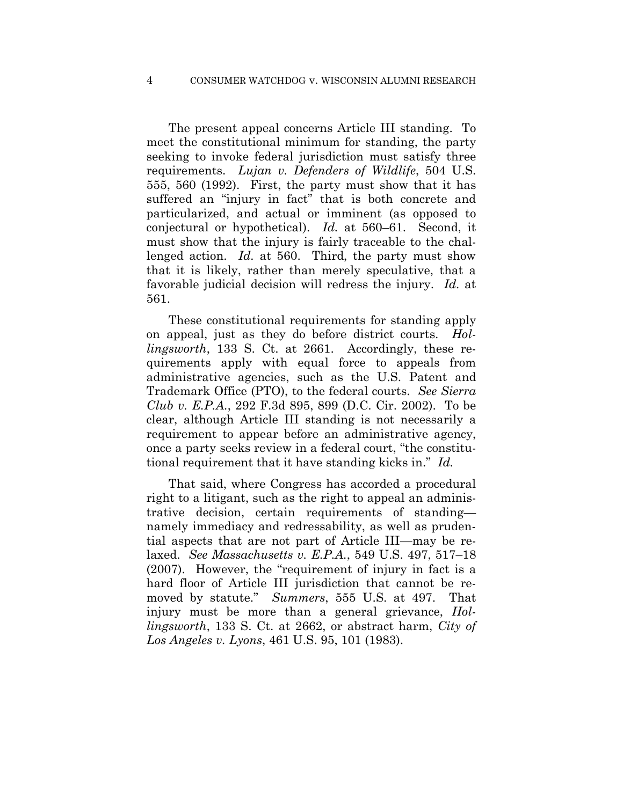The present appeal concerns Article III standing. To meet the constitutional minimum for standing, the party seeking to invoke federal jurisdiction must satisfy three requirements. *Lujan v. Defenders of Wildlife*, 504 U.S. 555, 560 (1992). First, the party must show that it has suffered an "injury in fact" that is both concrete and particularized, and actual or imminent (as opposed to conjectural or hypothetical). *Id.* at 560–61. Second, it must show that the injury is fairly traceable to the challenged action. *Id.* at 560. Third, the party must show that it is likely, rather than merely speculative, that a favorable judicial decision will redress the injury. *Id.* at 561.

These constitutional requirements for standing apply on appeal, just as they do before district courts. *Hollingsworth*, 133 S. Ct. at 2661. Accordingly, these requirements apply with equal force to appeals from administrative agencies, such as the U.S. Patent and Trademark Office (PTO), to the federal courts. *See Sierra Club v. E.P.A.*, 292 F.3d 895, 899 (D.C. Cir. 2002). To be clear, although Article III standing is not necessarily a requirement to appear before an administrative agency, once a party seeks review in a federal court, "the constitutional requirement that it have standing kicks in." *Id.*

That said, where Congress has accorded a procedural right to a litigant, such as the right to appeal an administrative decision, certain requirements of standing namely immediacy and redressability, as well as prudential aspects that are not part of Article III—may be relaxed. *See Massachusetts v. E.P.A.*, 549 U.S. 497, 517–18 (2007). However, the "requirement of injury in fact is a hard floor of Article III jurisdiction that cannot be removed by statute." *Summers*, 555 U.S. at 497. That injury must be more than a general grievance, *Hollingsworth*, 133 S. Ct. at 2662, or abstract harm, *City of Los Angeles v. Lyons*, 461 U.S. 95, 101 (1983).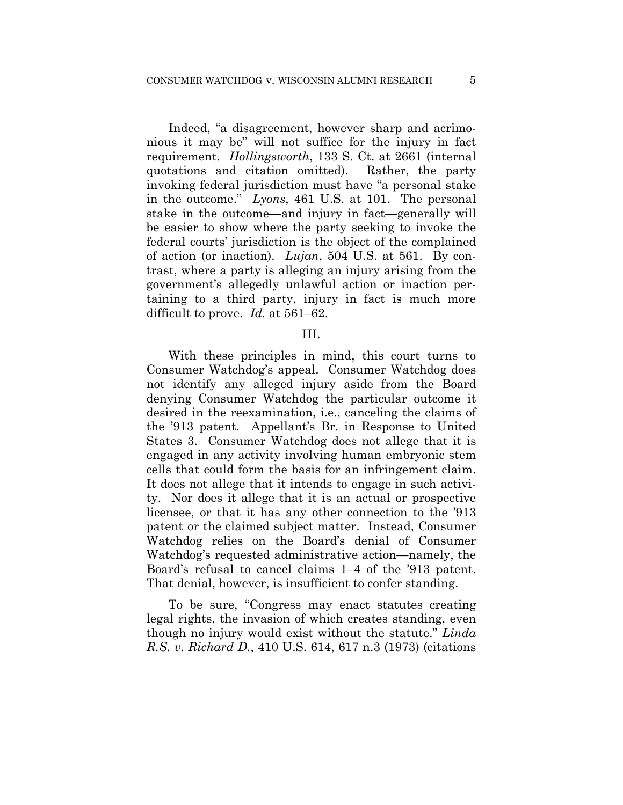Indeed, "a disagreement, however sharp and acrimonious it may be" will not suffice for the injury in fact requirement. *Hollingsworth*, 133 S. Ct. at 2661 (internal quotations and citation omitted). Rather, the party invoking federal jurisdiction must have "a personal stake in the outcome." *Lyons*, 461 U.S. at 101. The personal stake in the outcome—and injury in fact—generally will be easier to show where the party seeking to invoke the federal courts' jurisdiction is the object of the complained of action (or inaction). *Lujan*, 504 U.S. at 561. By contrast, where a party is alleging an injury arising from the government's allegedly unlawful action or inaction pertaining to a third party, injury in fact is much more difficult to prove. *Id.* at 561–62.

#### III.

With these principles in mind, this court turns to Consumer Watchdog's appeal. Consumer Watchdog does not identify any alleged injury aside from the Board denying Consumer Watchdog the particular outcome it desired in the reexamination, i.e., canceling the claims of the '913 patent. Appellant's Br. in Response to United States 3. Consumer Watchdog does not allege that it is engaged in any activity involving human embryonic stem cells that could form the basis for an infringement claim. It does not allege that it intends to engage in such activity. Nor does it allege that it is an actual or prospective licensee, or that it has any other connection to the '913 patent or the claimed subject matter. Instead, Consumer Watchdog relies on the Board's denial of Consumer Watchdog's requested administrative action—namely, the Board's refusal to cancel claims 1–4 of the '913 patent. That denial, however, is insufficient to confer standing.

To be sure, "Congress may enact statutes creating legal rights, the invasion of which creates standing, even though no injury would exist without the statute." *Linda R.S. v. Richard D.*, 410 U.S. 614, 617 n.3 (1973) (citations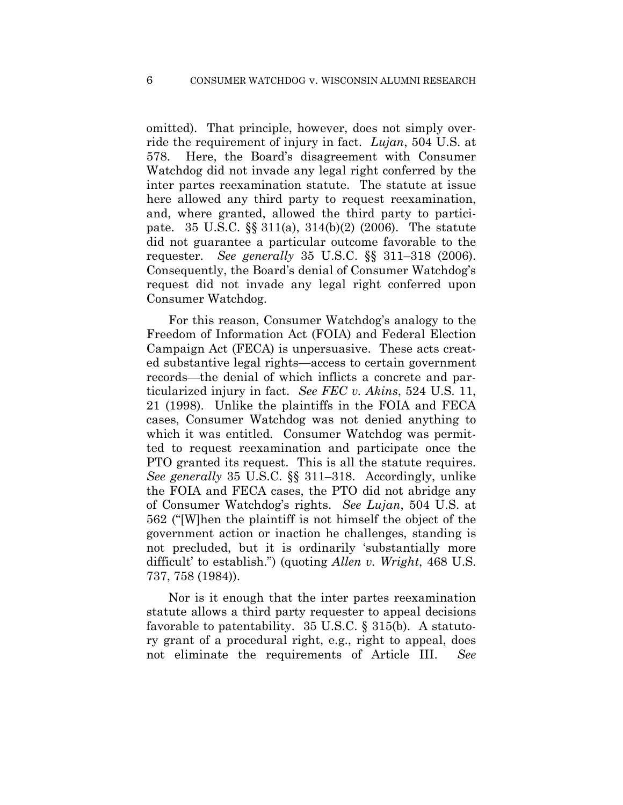omitted). That principle, however, does not simply override the requirement of injury in fact. *Lujan*, 504 U.S. at 578. Here, the Board's disagreement with Consumer Watchdog did not invade any legal right conferred by the inter partes reexamination statute. The statute at issue here allowed any third party to request reexamination, and, where granted, allowed the third party to participate. 35 U.S.C. §§ 311(a), 314(b)(2) (2006). The statute did not guarantee a particular outcome favorable to the requester. *See generally* 35 U.S.C. §§ 311–318 (2006). Consequently, the Board's denial of Consumer Watchdog's request did not invade any legal right conferred upon Consumer Watchdog.

For this reason, Consumer Watchdog's analogy to the Freedom of Information Act (FOIA) and Federal Election Campaign Act (FECA) is unpersuasive. These acts created substantive legal rights—access to certain government records—the denial of which inflicts a concrete and particularized injury in fact. *See FEC v. Akins*, 524 U.S. 11, 21 (1998). Unlike the plaintiffs in the FOIA and FECA cases, Consumer Watchdog was not denied anything to which it was entitled. Consumer Watchdog was permitted to request reexamination and participate once the PTO granted its request. This is all the statute requires. *See generally* 35 U.S.C. §§ 311–318. Accordingly, unlike the FOIA and FECA cases, the PTO did not abridge any of Consumer Watchdog's rights. *See Lujan*, 504 U.S. at 562 ("[W]hen the plaintiff is not himself the object of the government action or inaction he challenges, standing is not precluded, but it is ordinarily 'substantially more difficult' to establish.") (quoting *Allen v. Wright*, 468 U.S. 737, 758 (1984)).

Nor is it enough that the inter partes reexamination statute allows a third party requester to appeal decisions favorable to patentability. 35 U.S.C. § 315(b). A statutory grant of a procedural right, e.g., right to appeal, does not eliminate the requirements of Article III. *See*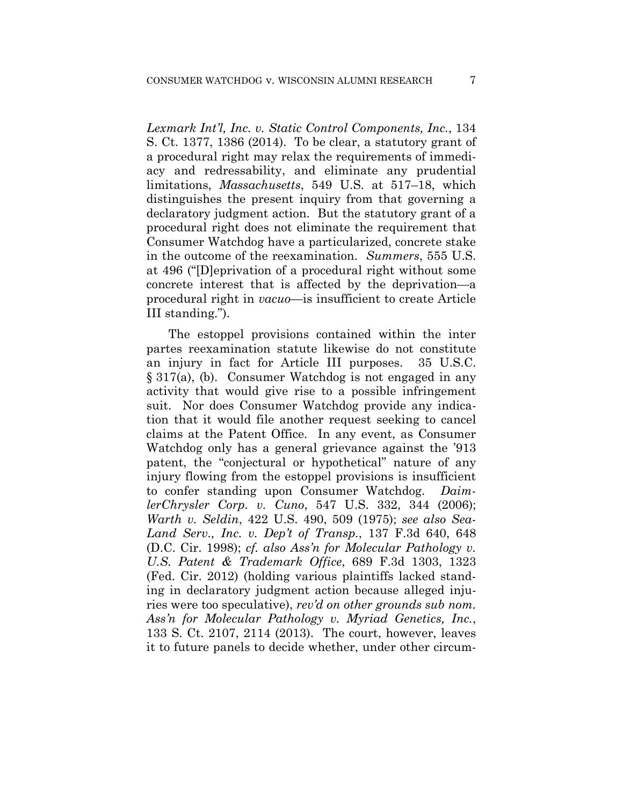*Lexmark Int'l, Inc. v. Static Control Components, Inc.*, 134 S. Ct. 1377, 1386 (2014). To be clear, a statutory grant of a procedural right may relax the requirements of immediacy and redressability, and eliminate any prudential limitations, *Massachusetts*, 549 U.S. at 517–18, which distinguishes the present inquiry from that governing a declaratory judgment action. But the statutory grant of a procedural right does not eliminate the requirement that Consumer Watchdog have a particularized, concrete stake in the outcome of the reexamination. *Summers*, 555 U.S. at 496 ("[D]eprivation of a procedural right without some concrete interest that is affected by the deprivation—a procedural right in *vacuo*—is insufficient to create Article III standing.").

The estoppel provisions contained within the inter partes reexamination statute likewise do not constitute an injury in fact for Article III purposes. 35 U.S.C. § 317(a), (b). Consumer Watchdog is not engaged in any activity that would give rise to a possible infringement suit. Nor does Consumer Watchdog provide any indication that it would file another request seeking to cancel claims at the Patent Office. In any event, as Consumer Watchdog only has a general grievance against the '913 patent, the "conjectural or hypothetical" nature of any injury flowing from the estoppel provisions is insufficient to confer standing upon Consumer Watchdog. *DaimlerChrysler Corp. v. Cuno*, 547 U.S. 332, 344 (2006); *Warth v. Seldin*, 422 U.S. 490, 509 (1975); *see also Sea-Land Serv., Inc. v. Dep't of Transp.*, 137 F.3d 640, 648 (D.C. Cir. 1998); *cf. also Ass'n for Molecular Pathology v. U.S. Patent & Trademark Office*, 689 F.3d 1303, 1323 (Fed. Cir. 2012) (holding various plaintiffs lacked standing in declaratory judgment action because alleged injuries were too speculative), *rev'd on other grounds sub nom. Ass'n for Molecular Pathology v. Myriad Genetics, Inc.*, 133 S. Ct. 2107, 2114 (2013). The court, however, leaves it to future panels to decide whether, under other circum-